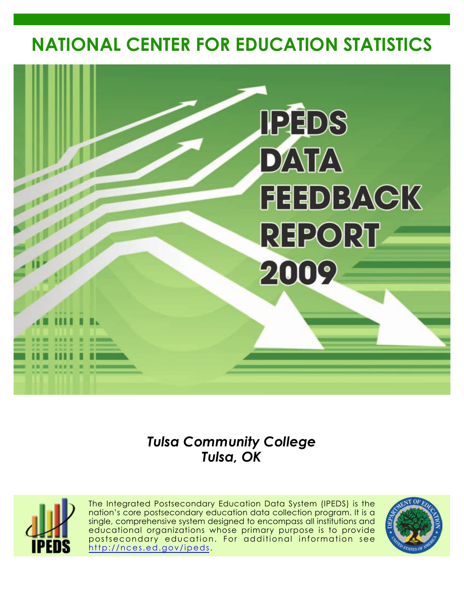# **NATIONAL CENTER FOR EDUCATION STATISTICS**



# *Tulsa Community College Tulsa, OK*



The Integrated Postsecondary Education Data System (IPEDS) is the nation's core postsecondary education data collection program. It is a single, comprehensive system designed to encompass all institutions and educational organizations whose primary purpose is to provide postsecondary education. For additional information see <http://nces.ed.gov/ipeds>.

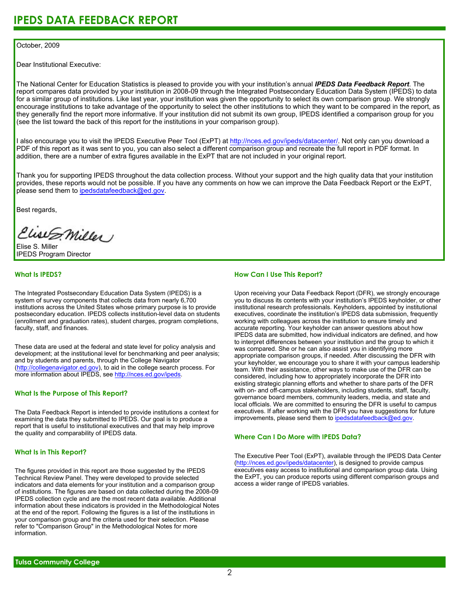### October, 2009

Dear Institutional Executive:

The National Center for Education Statistics is pleased to provide you with your institution's annual *IPEDS Data Feedback Report*. The report compares data provided by your institution in 2008-09 through the Integrated Postsecondary Education Data System (IPEDS) to data for a similar group of institutions. Like last year, your institution was given the opportunity to select its own comparison group. We strongly encourage institutions to take advantage of the opportunity to select the other institutions to which they want to be compared in the report, as they generally find the report more informative. If your institution did not submit its own group, IPEDS identified a comparison group for you (see the list toward the back of this report for the institutions in your comparison group).

I also encourage you to visit the IPEDS Executive Peer Tool (ExPT) at <http://nces.ed.gov/ipeds/datacenter/>. Not only can you download a PDF of this report as it was sent to you, you can also select a different comparison group and recreate the full report in PDF format. In addition, there are a number of extra figures available in the ExPT that are not included in your original report.

Thank you for supporting IPEDS throughout the data collection process. Without your support and the high quality data that your institution provides, these reports would not be possible. If you have any comments on how we can improve the Data Feedback Report or the ExPT, please send them to ipedsdatafeedback@ed.gov.

Best regards,

Clist S. Miller

Elise S. Miller IPEDS Program Director

### **What Is IPEDS?**

The Integrated Postsecondary Education Data System (IPEDS) is a system of survey components that collects data from nearly 6,700 institutions across the United States whose primary purpose is to provide postsecondary education. IPEDS collects institution-level data on students (enrollment and graduation rates), student charges, program completions, faculty, staff, and finances.

These data are used at the federal and state level for policy analysis and development; at the institutional level for benchmarking and peer analysis; and by students and parents, through the College Navigator [\(http://collegenavigator.ed.gov\)](http://collegenavigator.ed.gov), to aid in the college search process. For more information about IPEDS, see [http://nces.ed.gov/ipeds.](http://nces.ed.gov/ipeds)

### **What Is the Purpose of This Report?**

The Data Feedback Report is intended to provide institutions a context for examining the data they submitted to IPEDS. Our goal is to produce a report that is useful to institutional executives and that may help improve the quality and comparability of IPEDS data.

### **What Is in This Report?**

The figures provided in this report are those suggested by the IPEDS Technical Review Panel. They were developed to provide selected indicators and data elements for your institution and a comparison group of institutions. The figures are based on data collected during the 2008-09 IPEDS collection cycle and are the most recent data available. Additional information about these indicators is provided in the Methodological Notes at the end of the report. Following the figures is a list of the institutions in your comparison group and the criteria used for their selection. Please refer to "Comparison Group" in the Methodological Notes for more information.

### **How Can I Use This Report?**

Upon receiving your Data Feedback Report (DFR), we strongly encourage you to discuss its contents with your institution's IPEDS keyholder, or other institutional research professionals. Keyholders, appointed by institutional executives, coordinate the institution's IPEDS data submission, frequently working with colleagues across the institution to ensure timely and accurate reporting. Your keyholder can answer questions about how IPEDS data are submitted, how individual indicators are defined, and how to interpret differences between your institution and the group to which it was compared. She or he can also assist you in identifying more appropriate comparison groups, if needed. After discussing the DFR with your keyholder, we encourage you to share it with your campus leadership team. With their assistance, other ways to make use of the DFR can be considered, including how to appropriately incorporate the DFR into existing strategic planning efforts and whether to share parts of the DFR with on- and off-campus stakeholders, including students, staff, faculty, governance board members, community leaders, media, and state and local officials. We are committed to ensuring the DFR is useful to campus executives. If after working with the DFR you have suggestions for future improvements, please send them to ipedsdatafeedback@ed.gov.

### **Where Can I Do More with IPEDS Data?**

The Executive Peer Tool (ExPT), available through the IPEDS Data Center [\(http://nces.ed.gov/ipeds/datacenter](http://nces.ed.gov/ipeds/datacenter)), is designed to provide campus executives easy access to institutional and comparison group data. Using the ExPT, you can produce reports using different comparison groups and access a wider range of IPEDS variables.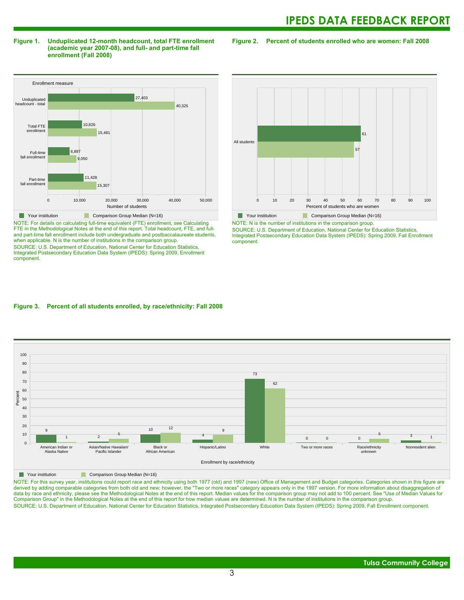### **Figure 1. Unduplicated 12-month headcount, total FTE enrollment (academic year 2007-08), and full- and part-time fall enrollment (Fall 2008)**

**Figure 2. Percent of students enrolled who are women: Fall 2008**



NOTE: For details on calculating full-time equivalent (FTE) enrollment, see Calculating FTE in the Methodological Notes at the end of this report. Total headcount, FTE, and fulland part-time fall enrollment include both undergraduate and postbaccalaureate students, when applicable. N is the number of institutions in the comparison group. SOURCE: U.S. Department of Education, National Center for Education Statistics, Integrated Postsecondary Education Data System (IPEDS): Spring 2009, Enrollment component.



NOTE: N is the number of institutions in the comparison group. SOURCE: U.S. Department of Education, National Center for Education Statistics, Integrated Postsecondary Education Data System (IPEDS): Spring 2009, Fall Enrollment component.

### **Figure 3. Percent of all students enrolled, by race/ethnicity: Fall 2008**



**The Comparison Group Median (N=16)** Comparison Group Median (N=16)

NOTE: For this survey year, institutions could report race and ethnicity using both 1977 (old) and 1997 (new) Office of Management and Budget categories. Categories shown in this figure are derived by adding comparable categories from both old and new; however, the "Two or more races" category appears only in the 1997 version. For more information about disaggregation of data by race and ethnicity, please see the Methodological Notes at the end of this report. Median values for the comparison group may not add to 100 percent. See "Use of Median Values for Comparison Group" in the Methodological Notes at the end of this report for how median values are determined. N is the number of institutions in the comparison group. SOURCE: U.S. Department of Education, National Center for Education Statistics, Integrated Postsecondary Education Data System (IPEDS): Spring 2009, Fall Enrollment component.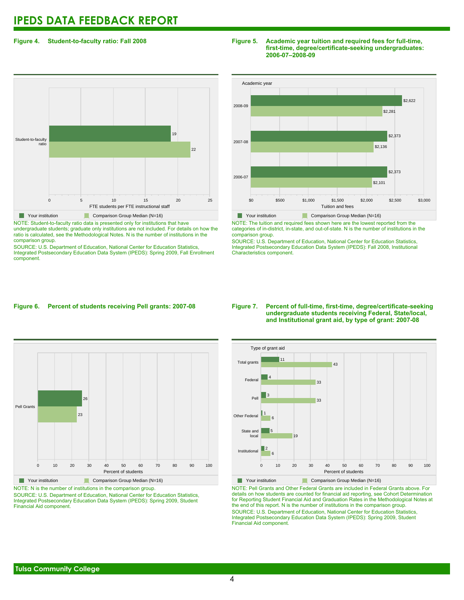### **Figure 4. Student-to-faculty ratio: Fall 2008**



NOTE: Student-to-faculty ratio data is presented only for institutions that have undergraduate students; graduate only institutions are not included. For details on how the ratio is calculated, see the Methodological Notes. N is the number of institutions in the comparison group.

SOURCE: U.S. Department of Education, National Center for Education Statistics, Integrated Postsecondary Education Data System (IPEDS): Spring 2009, Fall Enrollment component.

### **Figure 5. Academic year tuition and required fees for full-time, first-time, degree/certificate-seeking undergraduates: 2006-07–2008-09**



NOTE: The tuition and required fees shown here are the lowest reported from the categories of in-district, in-state, and out-of-state. N is the number of institutions in the comparison group.

SOURCE: U.S. Department of Education, National Center for Education Statistics, Integrated Postsecondary Education Data System (IPEDS): Fall 2008, Institutional Characteristics component.

### **Figure 6. Percent of students receiving Pell grants: 2007-08**



Your institution **Comparison Group Median (N=16)** NOTE: N is the number of institutions in the comparison group.

SOURCE: U.S. Department of Education, National Center for Education Statistics, Integrated Postsecondary Education Data System (IPEDS): Spring 2009, Student Financial Aid component.

### **Figure 7. Percent of full-time, first-time, degree/certificate-seeking undergraduate students receiving Federal, State/local, and Institutional grant aid, by type of grant: 2007-08**



NOTE: Pell Grants and Other Federal Grants are included in Federal Grants above. For details on how students are counted for financial aid reporting, see Cohort Determination for Reporting Student Financial Aid and Graduation Rates in the Methodological Notes at the end of this report. N is the number of institutions in the comparison group. SOURCE: U.S. Department of Education, National Center for Education Statistics, Integrated Postsecondary Education Data System (IPEDS): Spring 2009, Student Financial Aid component.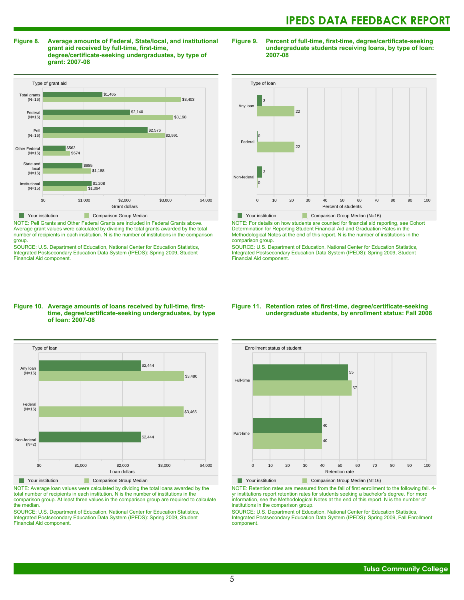**Figure 8. Average amounts of Federal, State/local, and institutional grant aid received by full-time, first-time, degree/certificate-seeking undergraduates, by type of grant: 2007-08**



NOTE: Pell Grants and Other Federal Grants are included in Federal Grants above. Average grant values were calculated by dividing the total grants awarded by the total number of recipients in each institution. N is the number of institutions in the comparison group.

SOURCE: U.S. Department of Education, National Center for Education Statistics, Integrated Postsecondary Education Data System (IPEDS): Spring 2009, Student Financial Aid component.

### **Figure 9. Percent of full-time, first-time, degree/certificate-seeking undergraduate students receiving loans, by type of loan: 2007-08**



Your institution Comparison Group Median (N=16)

NOTE: For details on how students are counted for financial aid reporting, see Cohort Determination for Reporting Student Financial Aid and Graduation Rates in the Methodological Notes at the end of this report. N is the number of institutions in the comparison group.

SOURCE: U.S. Department of Education, National Center for Education Statistics, Integrated Postsecondary Education Data System (IPEDS): Spring 2009, Student Financial Aid component.

### **Figure 10. Average amounts of loans received by full-time, firsttime, degree/certificate-seeking undergraduates, by type of loan: 2007-08**



NOTE: Average loan values were calculated by dividing the total loans awarded by the total number of recipients in each institution. N is the number of institutions in the comparison group. At least three values in the comparison group are required to calculate the median.

SOURCE: U.S. Department of Education, National Center for Education Statistics, Integrated Postsecondary Education Data System (IPEDS): Spring 2009, Student Financial Aid component.

### **Figure 11. Retention rates of first-time, degree/certificate-seeking undergraduate students, by enrollment status: Fall 2008**



NOTE: Retention rates are measured from the fall of first enrollment to the following fall. 4 yr institutions report retention rates for students seeking a bachelor's degree. For more information, see the Methodological Notes at the end of this report. N is the number of institutions in the comparison group.

SOURCE: U.S. Department of Education, National Center for Education Statistics, Integrated Postsecondary Education Data System (IPEDS): Spring 2009, Fall Enrollment component.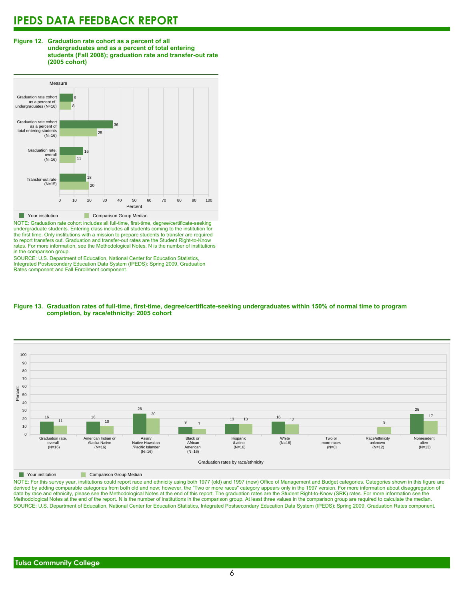### **Figure 12. Graduation rate cohort as a percent of all undergraduates and as a percent of total entering students (Fall 2008); graduation rate and transfer-out rate (2005 cohort)**



NOTE: Graduation rate cohort includes all full-time, first-time, degree/certificate-seeking undergraduate students. Entering class includes all students coming to the institution for the first time. Only institutions with a mission to prepare students to transfer are required to report transfers out. Graduation and transfer-out rates are the Student Right-to-Know rates. For more information, see the Methodological Notes. N is the number of institutions in the comparison group.

SOURCE: U.S. Department of Education, National Center for Education Statistics, Integrated Postsecondary Education Data System (IPEDS): Spring 2009, Graduation Rates component and Fall Enrollment component.





**The Comparison Group Median** 

NOTE: For this survey year, institutions could report race and ethnicity using both 1977 (old) and 1997 (new) Office of Management and Budget categories. Categories shown in this figure are derived by adding comparable categories from both old and new; however, the "Two or more races" category appears only in the 1997 version. For more information about disaggregation of data by race and ethnicity, please see the Methodological Notes at the end of this report. The graduation rates are the Student Right-to-Know (SRK) rates. For more information see the Methodological Notes at the end of the report. N is the number of institutions in the comparison group. At least three values in the comparison group are required to calculate the median. SOURCE: U.S. Department of Education, National Center for Education Statistics, Integrated Postsecondary Education Data System (IPEDS): Spring 2009, Graduation Rates component.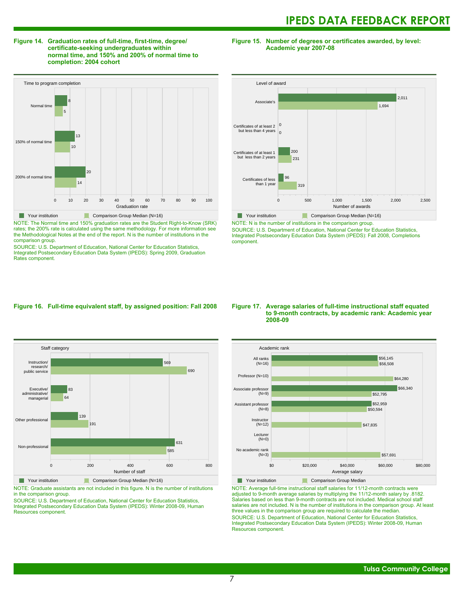### **Figure 14. Graduation rates of full-time, first-time, degree/ certificate-seeking undergraduates within normal time, and 150% and 200% of normal time to completion: 2004 cohort**

**Figure 15. Number of degrees or certificates awarded, by level: Academic year 2007-08**



NOTE: The Normal time and 150% graduation rates are the Student Right-to-Know (SRK) rates; the 200% rate is calculated using the same methodology. For more information see the Methodological Notes at the end of the report. N is the number of institutions in the comparison group.

SOURCE: U.S. Department of Education, National Center for Education Statistics, Integrated Postsecondary Education Data System (IPEDS): Spring 2009, Graduation Rates component.



NOTE: N is the number of institutions in the comparison group.

SOURCE: U.S. Department of Education, National Center for Education Statistics, Integrated Postsecondary Education Data System (IPEDS): Fall 2008, Completions component.

### **Figure 16. Full-time equivalent staff, by assigned position: Fall 2008**



NOTE: Graduate assistants are not included in this figure. N is the number of institutions in the comparison group.

SOURCE: U.S. Department of Education, National Center for Education Statistics, Integrated Postsecondary Education Data System (IPEDS): Winter 2008-09, Human Resources component.

### **Figure 17. Average salaries of full-time instructional staff equated to 9-month contracts, by academic rank: Academic year 2008-09**



NOTE: Average full-time instructional staff salaries for 11/12-month contracts were adjusted to 9-month average salaries by multiplying the 11/12-month salary by .8182. Salaries based on less than 9-month contracts are not included. Medical school staff salaries are not included. N is the number of institutions in the comparison group. At least three values in the comparison group are required to calculate the median. SOURCE: U.S. Department of Education, National Center for Education Statistics, Integrated Postsecondary Education Data System (IPEDS): Winter 2008-09, Human Resources component.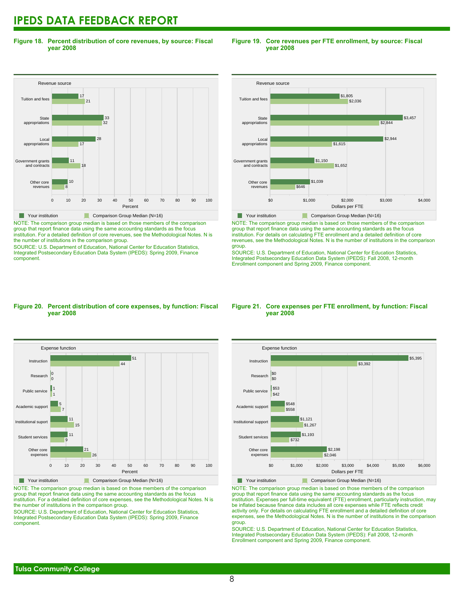**Figure 18. Percent distribution of core revenues, by source: Fiscal year 2008**



NOTE: The comparison group median is based on those members of the comparison group that report finance data using the same accounting standards as the focus institution. For a detailed definition of core revenues, see the Methodological Notes. N is the number of institutions in the comparison group.

SOURCE: U.S. Department of Education, National Center for Education Statistics, Integrated Postsecondary Education Data System (IPEDS): Spring 2009, Finance component.

### **Figure 19. Core revenues per FTE enrollment, by source: Fiscal year 2008**



NOTE: The comparison group median is based on those members of the comparison group that report finance data using the same accounting standards as the focus institution. For details on calculating FTE enrollment and a detailed definition of core revenues, see the Methodological Notes. N is the number of institutions in the comparison group.

SOURCE: U.S. Department of Education, National Center for Education Statistics, Integrated Postsecondary Education Data System (IPEDS): Fall 2008, 12-month Enrollment component and Spring 2009, Finance component.

### **Figure 20. Percent distribution of core expenses, by function: Fiscal year 2008**



NOTE: The comparison group median is based on those members of the comparison group that report finance data using the same accounting standards as the focus institution. For a detailed definition of core expenses, see the Methodological Notes. N is the number of institutions in the comparison group.

SOURCE: U.S. Department of Education, National Center for Education Statistics, Integrated Postsecondary Education Data System (IPEDS): Spring 2009, Finance component.

### **Figure 21. Core expenses per FTE enrollment, by function: Fiscal year 2008**



NOTE: The comparison group median is based on those members of the comparison group that report finance data using the same accounting standards as the focus institution. Expenses per full-time equivalent (FTE) enrollment, particularly instruction, may be inflated because finance data includes all core expenses while FTE reflects credit activity only. For details on calculating FTE enrollment and a detailed definition of core expenses, see the Methodological Notes. N is the number of institutions in the comparison group.

SOURCE: U.S. Department of Education, National Center for Education Statistics, Integrated Postsecondary Education Data System (IPEDS): Fall 2008, 12-month Enrollment component and Spring 2009, Finance component.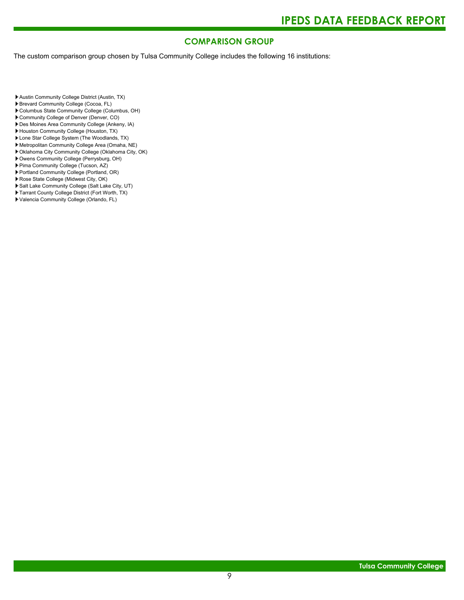### **COMPARISON GROUP**

The custom comparison group chosen by Tulsa Community College includes the following 16 institutions:

Austin Community College District (Austin, TX)

- Brevard Community College (Cocoa, FL)
- Columbus State Community College (Columbus, OH)
- Community College of Denver (Denver, CO)
- Des Moines Area Community College (Ankeny, IA)
- Houston Community College (Houston, TX)
- Lone Star College System (The Woodlands, TX)
- Metropolitan Community College Area (Omaha, NE)
- Oklahoma City Community College (Oklahoma City, OK)
- Owens Community College (Perrysburg, OH)
- Pima Community College (Tucson, AZ)
- Portland Community College (Portland, OR)
- Rose State College (Midwest City, OK)
- Salt Lake Community College (Salt Lake City, UT) ▶ Tarrant County College District (Fort Worth, TX)
- Valencia Community College (Orlando, FL)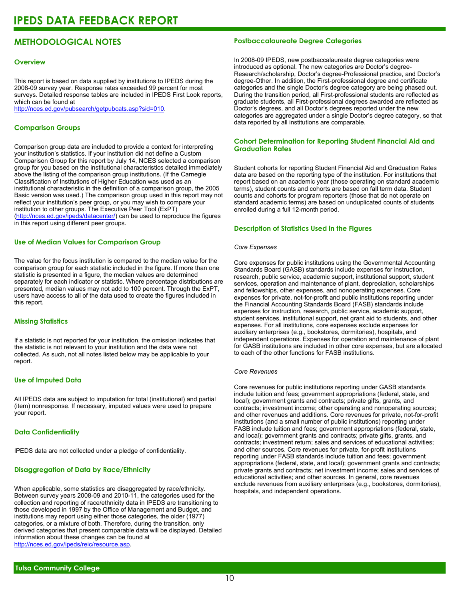### **METHODOLOGICAL NOTES**

### **Overview**

This report is based on data supplied by institutions to IPEDS during the 2008-09 survey year. Response rates exceeded 99 percent for most surveys. Detailed response tables are included in IPEDS First Look reports, which can be found at [http://nces.ed.gov/pubsearch/getpubcats.asp?sid=010.](http://nces.ed.gov/pubsearch/getpubcats.asp?sid=010)

### **Comparison Groups**

Comparison group data are included to provide a context for interpreting your institution's statistics. If your institution did not define a Custom Comparison Group for this report by July 14, NCES selected a comparison group for you based on the institutional characteristics detailed immediately above the listing of the comparison group institutions. (If the Carnegie Classification of Institutions of Higher Education was used as an institutional characteristic in the definition of a comparison group, the 2005 Basic version was used.) The comparison group used in this report may not reflect your institution's peer group, or you may wish to compare your institution to other groups. The Executive Peer Tool (ExPT) (<http://nces.ed.gov/ipeds/datacenter/>) can be used to reproduce the figures in this report using different peer groups.

### **Use of Median Values for Comparison Group**

The value for the focus institution is compared to the median value for the comparison group for each statistic included in the figure. If more than one statistic is presented in a figure, the median values are determined separately for each indicator or statistic. Where percentage distributions are presented, median values may not add to 100 percent. Through the ExPT, users have access to all of the data used to create the figures included in this report.

### **Missing Statistics**

If a statistic is not reported for your institution, the omission indicates that the statistic is not relevant to your institution and the data were not collected. As such, not all notes listed below may be applicable to your report.

### **Use of Imputed Data**

All IPEDS data are subject to imputation for total (institutional) and partial (item) nonresponse. If necessary, imputed values were used to prepare your report.

### **Data Confidentiality**

IPEDS data are not collected under a pledge of confidentiality.

### **Disaggregation of Data by Race/Ethnicity**

When applicable, some statistics are disaggregated by race/ethnicity. Between survey years 2008-09 and 2010-11, the categories used for the collection and reporting of race/ethnicity data in IPEDS are transitioning to those developed in 1997 by the Office of Management and Budget, and institutions may report using either those categories, the older (1977) categories, or a mixture of both. Therefore, during the transition, only derived categories that present comparable data will be displayed. Detailed information about these changes can be found at <http://nces.ed.gov/ipeds/reic/resource.asp>.

### **Postbaccalaureate Degree Categories**

In 2008-09 IPEDS, new postbaccalaureate degree categories were introduced as optional. The new categories are Doctor's degree-Research/scholarship, Doctor's degree-Professional practice, and Doctor's degree-Other. In addition, the First-professional degree and certificate categories and the single Doctor's degree category are being phased out. During the transition period, all First-professional students are reflected as graduate students, all First-professional degrees awarded are reflected as Doctor's degrees, and all Doctor's degrees reported under the new categories are aggregated under a single Doctor's degree category, so that data reported by all institutions are comparable.

### **Cohort Determination for Reporting Student Financial Aid and Graduation Rates**

Student cohorts for reporting Student Financial Aid and Graduation Rates data are based on the reporting type of the institution. For institutions that report based on an academic year (those operating on standard academic terms), student counts and cohorts are based on fall term data. Student counts and cohorts for program reporters (those that do not operate on standard academic terms) are based on unduplicated counts of students enrolled during a full 12-month period.

### **Description of Statistics Used in the Figures**

### *Core Expenses*

Core expenses for public institutions using the Governmental Accounting Standards Board (GASB) standards include expenses for instruction, research, public service, academic support, institutional support, student services, operation and maintenance of plant, depreciation, scholarships and fellowships, other expenses, and nonoperating expenses. Core expenses for private, not-for-profit and public institutions reporting under the Financial Accounting Standards Board (FASB) standards include expenses for instruction, research, public service, academic support, student services, institutional support, net grant aid to students, and other expenses. For all institutions, core expenses exclude expenses for auxiliary enterprises (e.g., bookstores, dormitories), hospitals, and independent operations. Expenses for operation and maintenance of plant for GASB institutions are included in other core expenses, but are allocated to each of the other functions for FASB institutions.

### *Core Revenues*

Core revenues for public institutions reporting under GASB standards include tuition and fees; government appropriations (federal, state, and local); government grants and contracts; private gifts, grants, and contracts; investment income; other operating and nonoperating sources; and other revenues and additions. Core revenues for private, not-for-profit institutions (and a small number of public institutions) reporting under FASB include tuition and fees; government appropriations (federal, state, and local); government grants and contracts; private gifts, grants, and contracts; investment return; sales and services of educational activities; and other sources. Core revenues for private, for-profit institutions reporting under FASB standards include tuition and fees; government appropriations (federal, state, and local); government grants and contracts; private grants and contracts; net investment income; sales and services of educational activities; and other sources. In general, core revenues exclude revenues from auxiliary enterprises (e.g., bookstores, dormitories), hospitals, and independent operations.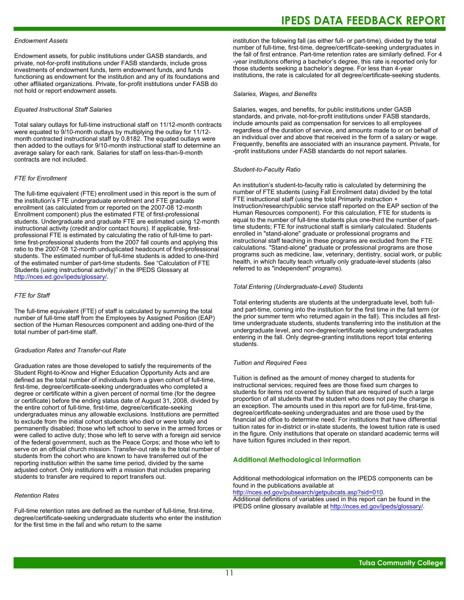### *Endowment Assets*

Endowment assets, for public institutions under GASB standards, and private, not-for-profit institutions under FASB standards, include gross investments of endowment funds, term endowment funds, and funds functioning as endowment for the institution and any of its foundations and other affiliated organizations. Private, for-profit institutions under FASB do not hold or report endowment assets.

### *Equated Instructional Staff Salaries*

Total salary outlays for full-time instructional staff on 11/12-month contracts were equated to 9/10-month outlays by multiplying the outlay for 11/12 month contracted instructional staff by 0.8182. The equated outlays were then added to the outlays for 9/10-month instructional staff to determine an average salary for each rank. Salaries for staff on less-than-9-month contracts are not included.

### *FTE for Enrollment*

The full-time equivalent (FTE) enrollment used in this report is the sum of the institution's FTE undergraduate enrollment and FTE graduate enrollment (as calculated from or reported on the 2007-08 12-month Enrollment component) plus the estimated FTE of first-professional students. Undergraduate and graduate FTE are estimated using 12-month instructional activity (credit and/or contact hours). If applicable, firstprofessional FTE is estimated by calculating the ratio of full-time to parttime first-professional students from the 2007 fall counts and applying this ratio to the 2007-08 12-month unduplicated headcount of first-professional students. The estimated number of full-time students is added to one-third of the estimated number of part-time students. See "Calculation of FTE Students (using instructional activity)" in the IPEDS Glossary at <http://nces.ed.gov/ipeds/glossary/>.

### *FTE for Staff*

The full-time equivalent (FTE) of staff is calculated by summing the total number of full-time staff from the Employees by Assigned Position (EAP) section of the Human Resources component and adding one-third of the total number of part-time staff.

### *Graduation Rates and Transfer-out Rate*

Graduation rates are those developed to satisfy the requirements of the Student Right-to-Know and Higher Education Opportunity Acts and are defined as the total number of individuals from a given cohort of full-time, first-time, degree/certificate-seeking undergraduates who completed a degree or certificate within a given percent of normal time (for the degree or certificate) before the ending status date of August 31, 2008, divided by the entire cohort of full-time, first-time, degree/certificate-seeking undergraduates minus any allowable exclusions. Institutions are permitted to exclude from the initial cohort students who died or were totally and permanently disabled; those who left school to serve in the armed forces or were called to active duty; those who left to serve with a foreign aid service of the federal government, such as the Peace Corps; and those who left to serve on an official church mission. Transfer-out rate is the total number of students from the cohort who are known to have transferred out of the reporting institution within the same time period, divided by the same adjusted cohort. Only institutions with a mission that includes preparing students to transfer are required to report transfers out.

### *Retention Rates*

Full-time retention rates are defined as the number of full-time, first-time, degree/certificate-seeking undergraduate students who enter the institution for the first time in the fall and who return to the same

### **IPEDS DATA FEEDBACK REPORT**

institution the following fall (as either full- or part-time), divided by the total number of full-time, first-time, degree/certificate-seeking undergraduates in the fall of first entrance. Part-time retention rates are similarly defined. For 4 -year institutions offering a bachelor's degree, this rate is reported only for those students seeking a bachelor's degree. For less than 4-year institutions, the rate is calculated for all degree/certificate-seeking students.

#### *Salaries, Wages, and Benefits*

Salaries, wages, and benefits, for public institutions under GASB standards, and private, not-for-profit institutions under FASB standards, include amounts paid as compensation for services to all employees regardless of the duration of service, and amounts made to or on behalf of an individual over and above that received in the form of a salary or wage. Frequently, benefits are associated with an insurance payment. Private, for -profit institutions under FASB standards do not report salaries.

#### *Student-to-Faculty Ratio*

An institution's student-to-faculty ratio is calculated by determining the number of FTE students (using Fall Enrollment data) divided by the total FTE instructional staff (using the total Primarily instruction + Instruction/research/public service staff reported on the EAP section of the Human Resources component). For this calculation, FTE for students is equal to the number of full-time students plus one-third the number of parttime students; FTE for instructional staff is similarly calculated. Students enrolled in "stand-alone" graduate or professional programs and instructional staff teaching in these programs are excluded from the FTE calculations. "Stand-alone" graduate or professional programs are those programs such as medicine, law, veterinary, dentistry, social work, or public health, in which faculty teach virtually only graduate-level students (also referred to as "independent" programs).

### *Total Entering (Undergraduate-Level) Students*

Total entering students are students at the undergraduate level, both fulland part-time, coming into the institution for the first time in the fall term (or the prior summer term who returned again in the fall). This includes all firsttime undergraduate students, students transferring into the institution at the undergraduate level, and non-degree/certificate seeking undergraduates entering in the fall. Only degree-granting institutions report total entering students.

### *Tuition and Required Fees*

Tuition is defined as the amount of money charged to students for instructional services; required fees are those fixed sum charges to students for items not covered by tuition that are required of such a large proportion of all students that the student who does not pay the charge is an exception. The amounts used in this report are for full-time, first-time, degree/certificate-seeking undergraduates and are those used by the financial aid office to determine need. For institutions that have differential tuition rates for in-district or in-state students, the lowest tuition rate is used in the figure. Only institutions that operate on standard academic terms will have tuition figures included in their report.

#### **Additional Methodological Information**

Additional methodological information on the IPEDS components can be found in the publications available at <http://nces.ed.gov/pubsearch/getpubcats.asp?sid=010>.

Additional definitions of variables used in this report can be found in the IPEDS online glossary available at <http://nces.ed.gov/ipeds/glossary/>.